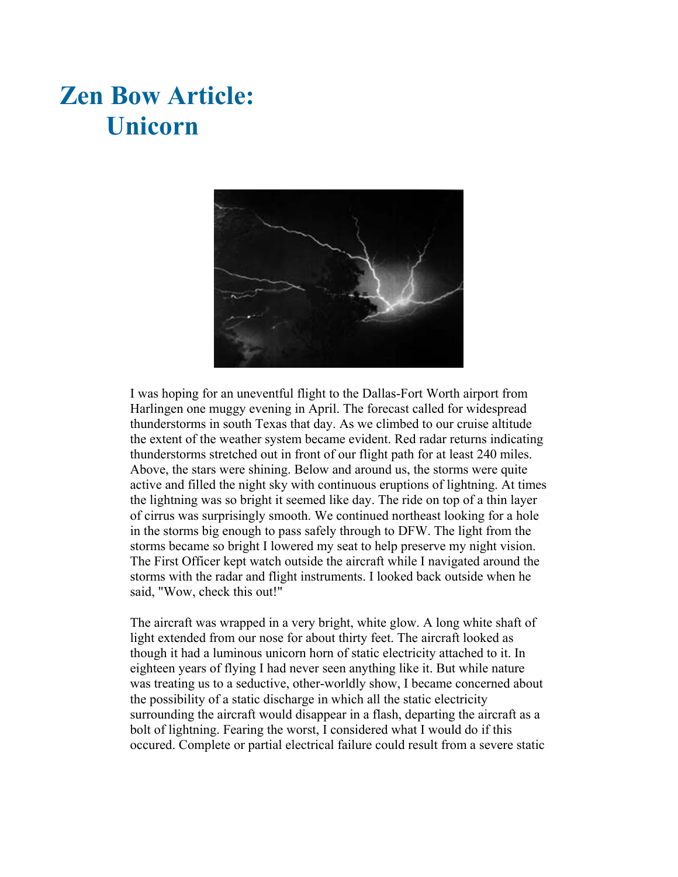## **Zen Bow Article: Unicorn**



I was hoping for an uneventful flight to the Dallas-Fort Worth airport from Harlingen one muggy evening in April. The forecast called for widespread thunderstorms in south Texas that day. As we climbed to our cruise altitude the extent of the weather system became evident. Red radar returns indicating thunderstorms stretched out in front of our flight path for at least 240 miles. Above, the stars were shining. Below and around us, the storms were quite active and filled the night sky with continuous eruptions of lightning. At times the lightning was so bright it seemed like day. The ride on top of a thin layer of cirrus was surprisingly smooth. We continued northeast looking for a hole in the storms big enough to pass safely through to DFW. The light from the storms became so bright I lowered my seat to help preserve my night vision. The First Officer kept watch outside the aircraft while I navigated around the storms with the radar and flight instruments. I looked back outside when he said, "Wow, check this out!"

The aircraft was wrapped in a very bright, white glow. A long white shaft of light extended from our nose for about thirty feet. The aircraft looked as though it had a luminous unicorn horn of static electricity attached to it. In eighteen years of flying I had never seen anything like it. But while nature was treating us to a seductive, other-worldly show, I became concerned about the possibility of a static discharge in which all the static electricity surrounding the aircraft would disappear in a flash, departing the aircraft as a bolt of lightning. Fearing the worst, I considered what I would do if this occured. Complete or partial electrical failure could result from a severe static